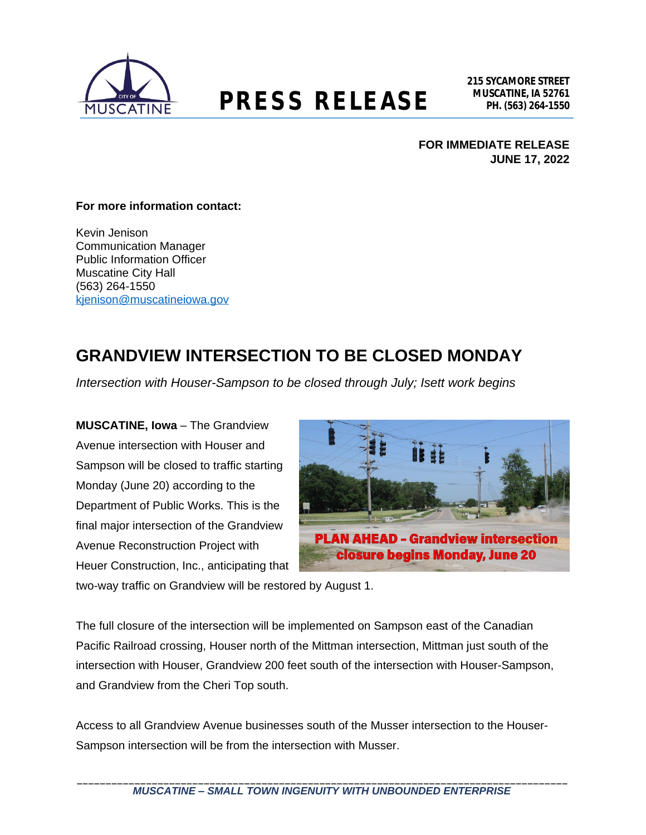

# **MUSCATINE, IA 52761 PRESS RELEASE PH. (563) 264-1550**

**FOR IMMEDIATE RELEASE JUNE 17, 2022**

#### **For more information contact:**

Kevin Jenison Communication Manager Public Information Officer Muscatine City Hall (563) 264-1550 [kjenison@muscatineiowa.gov](mailto:kjenison@muscatineiowa.gov)

### **GRANDVIEW INTERSECTION TO BE CLOSED MONDAY**

*Intersection with Houser-Sampson to be closed through July; Isett work begins*

**MUSCATINE, Iowa** – The Grandview Avenue intersection with Houser and Sampson will be closed to traffic starting Monday (June 20) according to the Department of Public Works. This is the final major intersection of the Grandview Avenue Reconstruction Project with Heuer Construction, Inc., anticipating that



two-way traffic on Grandview will be restored by August 1.

The full closure of the intersection will be implemented on Sampson east of the Canadian Pacific Railroad crossing, Houser north of the Mittman intersection, Mittman just south of the intersection with Houser, Grandview 200 feet south of the intersection with Houser-Sampson, and Grandview from the Cheri Top south.

Access to all Grandview Avenue businesses south of the Musser intersection to the Houser-Sampson intersection will be from the intersection with Musser.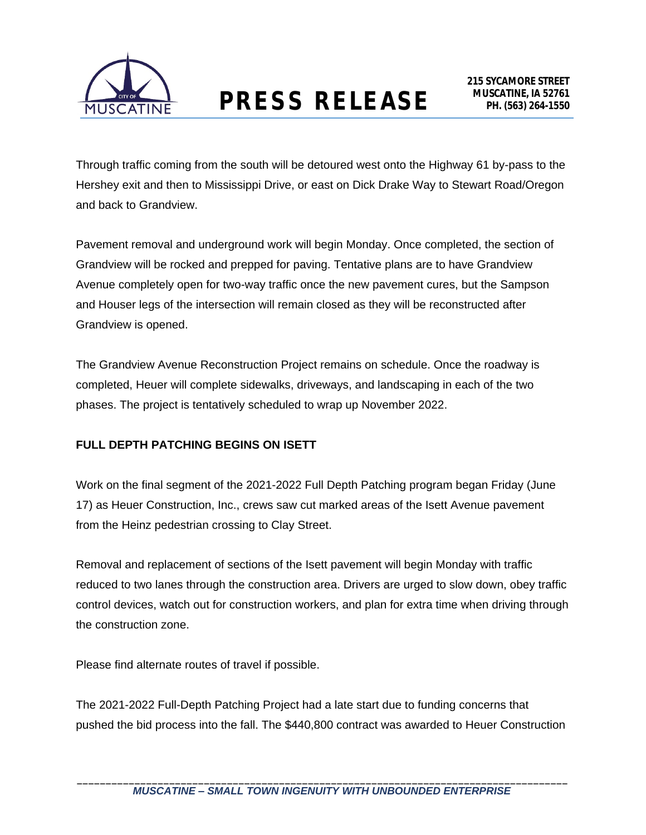

Through traffic coming from the south will be detoured west onto the Highway 61 by-pass to the Hershey exit and then to Mississippi Drive, or east on Dick Drake Way to Stewart Road/Oregon and back to Grandview.

Pavement removal and underground work will begin Monday. Once completed, the section of Grandview will be rocked and prepped for paving. Tentative plans are to have Grandview Avenue completely open for two-way traffic once the new pavement cures, but the Sampson and Houser legs of the intersection will remain closed as they will be reconstructed after Grandview is opened.

The Grandview Avenue Reconstruction Project remains on schedule. Once the roadway is completed, Heuer will complete sidewalks, driveways, and landscaping in each of the two phases. The project is tentatively scheduled to wrap up November 2022.

#### **FULL DEPTH PATCHING BEGINS ON ISETT**

Work on the final segment of the 2021-2022 Full Depth Patching program began Friday (June 17) as Heuer Construction, Inc., crews saw cut marked areas of the Isett Avenue pavement from the Heinz pedestrian crossing to Clay Street.

Removal and replacement of sections of the Isett pavement will begin Monday with traffic reduced to two lanes through the construction area. Drivers are urged to slow down, obey traffic control devices, watch out for construction workers, and plan for extra time when driving through the construction zone.

Please find alternate routes of travel if possible.

The 2021-2022 Full-Depth Patching Project had a late start due to funding concerns that pushed the bid process into the fall. The \$440,800 contract was awarded to Heuer Construction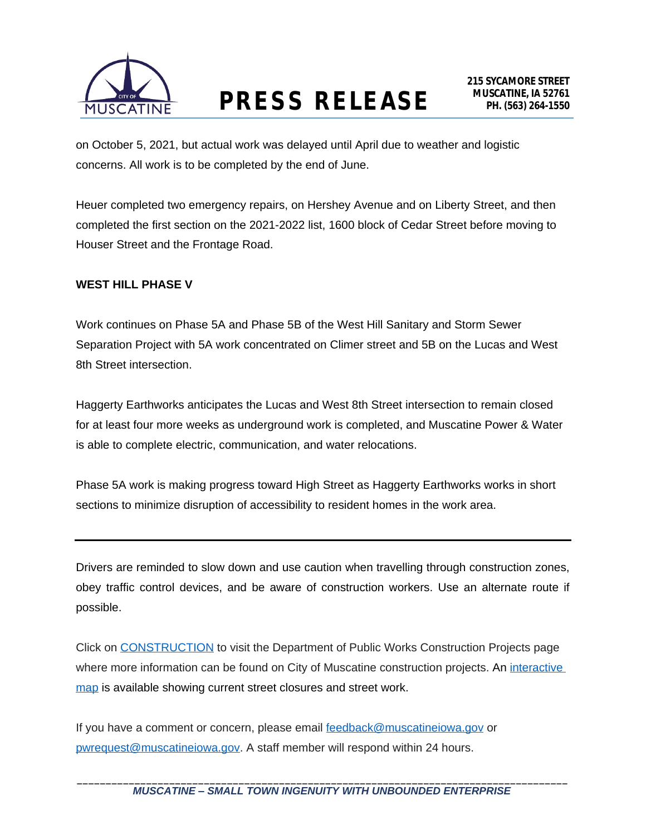

## **MUSCATINE, IA 52761 PRESS RELEASE PH. (563) 264-1550**

on October 5, 2021, but actual work was delayed until April due to weather and logistic concerns. All work is to be completed by the end of June.

Heuer completed two emergency repairs, on Hershey Avenue and on Liberty Street, and then completed the first section on the 2021-2022 list, 1600 block of Cedar Street before moving to Houser Street and the Frontage Road.

#### **WEST HILL PHASE V**

Work continues on Phase 5A and Phase 5B of the West Hill Sanitary and Storm Sewer Separation Project with 5A work concentrated on Climer street and 5B on the Lucas and West 8th Street intersection.

Haggerty Earthworks anticipates the Lucas and West 8th Street intersection to remain closed for at least four more weeks as underground work is completed, and Muscatine Power & Water is able to complete electric, communication, and water relocations.

Phase 5A work is making progress toward High Street as Haggerty Earthworks works in short sections to minimize disruption of accessibility to resident homes in the work area.

Drivers are reminded to slow down and use caution when travelling through construction zones, obey traffic control devices, and be aware of construction workers. Use an alternate route if possible.

Click on [CONSTRUCTION](http://muscatineiowa.gov/216/Construction-Projects) to visit the Department of Public Works Construction Projects page where more information can be found on City of Muscatine construction projects. An interactive map is available showing current street closures and street work.

If you have a comment or concern, please email [feedback@muscatineiowa.gov](mailto:feedback@muscatineiowa.gov) or [pwrequest@muscatineiowa.gov](mailto:pwrequest@muscatineiowa.gov). A staff member will respond within 24 hours.